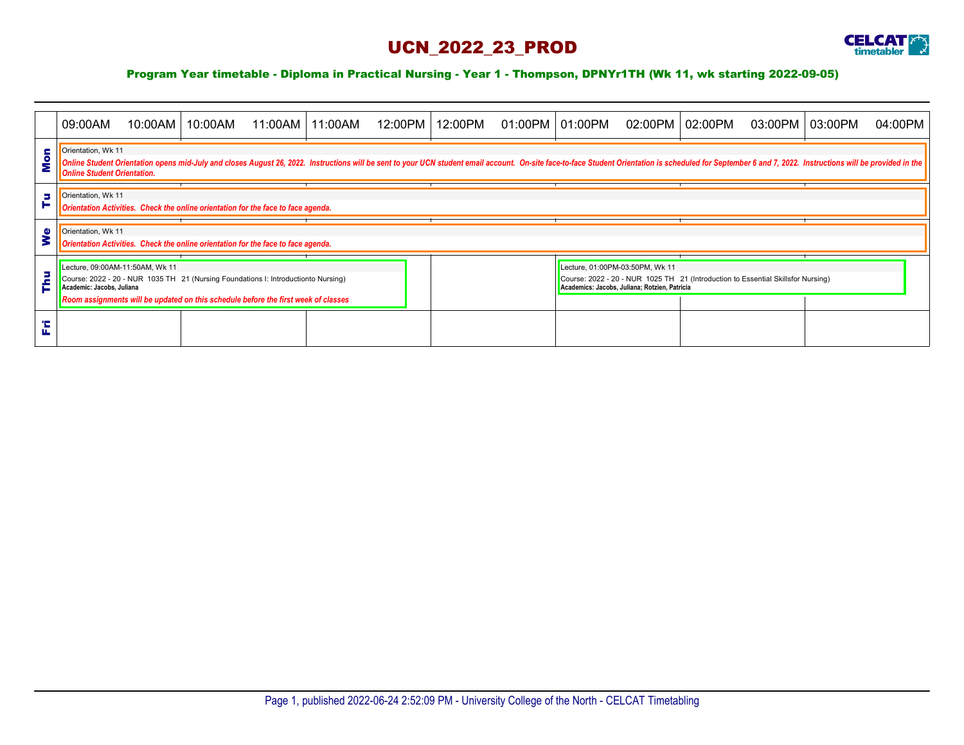## UCN\_2022\_23\_PROD



## Program Year timetable - Diploma in Practical Nursing - Year 1 - Thompson, DPNYr1TH (Wk 11, wk starting 2022-09-05)

|        | 09:00AM                                                                                                                                                                                                                                                                                    | 10:00AM | 10:00AM |  | 11:00AM 11:00AM | 12:00PM | 12:00PM | 01:00PM   01:00PM                                                                                                                                                    |  | 02:00PM   02:00PM |  | 03:00PM | 03:00PM | 04:00PM |
|--------|--------------------------------------------------------------------------------------------------------------------------------------------------------------------------------------------------------------------------------------------------------------------------------------------|---------|---------|--|-----------------|---------|---------|----------------------------------------------------------------------------------------------------------------------------------------------------------------------|--|-------------------|--|---------|---------|---------|
| c      | Orientation, Wk 11<br>Online Student Orientation opens mid-July and closes August 26, 2022. Instructions will be sent to your UCN student email account. On-site face-to-face Student Orientation is scheduled for September 6 and 7, 2022. Instruct<br><b>Online Student Orientation.</b> |         |         |  |                 |         |         |                                                                                                                                                                      |  |                   |  |         |         |         |
| 5<br>► | Orientation, Wk 11<br>Orientation Activities. Check the online orientation for the face to face agenda.                                                                                                                                                                                    |         |         |  |                 |         |         |                                                                                                                                                                      |  |                   |  |         |         |         |
| Φ      | Orientation, Wk 11<br>Orientation Activities. Check the online orientation for the face to face agenda.                                                                                                                                                                                    |         |         |  |                 |         |         |                                                                                                                                                                      |  |                   |  |         |         |         |
|        | Lecture, 09:00AM-11:50AM, Wk 11<br>Course: 2022 - 20 - NUR 1035 TH 21 (Nursing Foundations I: Introductionto Nursing)<br>Academic: Jacobs, Juliana<br>Room assignments will be updated on this schedule before the first week of classes                                                   |         |         |  |                 |         |         | Lecture, 01:00PM-03:50PM, Wk 11<br>Course: 2022 - 20 - NUR 1025 TH 21 (Introduction to Essential Skillsfor Nursing)<br>Academics: Jacobs, Juliana; Rotzien, Patricia |  |                   |  |         |         |         |
|        |                                                                                                                                                                                                                                                                                            |         |         |  |                 |         |         |                                                                                                                                                                      |  |                   |  |         |         |         |